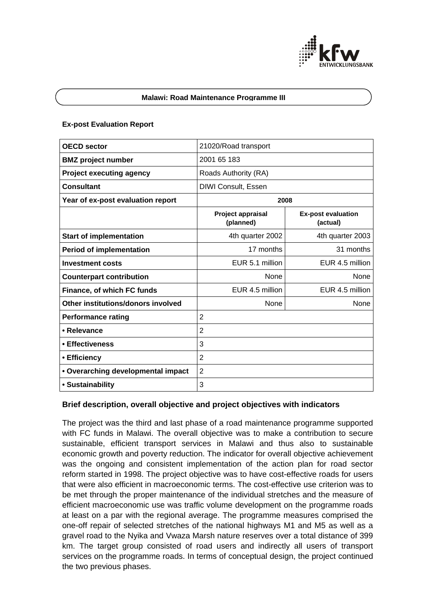

#### **Malawi: Road Maintenance Programme III**

## **Ex-post Evaluation Report**

| <b>OECD sector</b>                 | 21020/Road transport                  |                                       |
|------------------------------------|---------------------------------------|---------------------------------------|
| <b>BMZ</b> project number          | 2001 65 183                           |                                       |
| <b>Project executing agency</b>    | Roads Authority (RA)                  |                                       |
| <b>Consultant</b>                  | <b>DIWI Consult, Essen</b>            |                                       |
| Year of ex-post evaluation report  | 2008                                  |                                       |
|                                    | <b>Project appraisal</b><br>(planned) | <b>Ex-post evaluation</b><br>(actual) |
| <b>Start of implementation</b>     | 4th quarter 2002                      | 4th quarter 2003                      |
| <b>Period of implementation</b>    | 17 months                             | 31 months                             |
| <b>Investment costs</b>            | EUR 5.1 million                       | EUR 4.5 million                       |
| <b>Counterpart contribution</b>    | None                                  | None                                  |
| Finance, of which FC funds         | EUR 4.5 million                       | EUR 4.5 million                       |
| Other institutions/donors involved | None                                  | None                                  |
| <b>Performance rating</b>          | $\overline{2}$                        |                                       |
| • Relevance                        | $\overline{2}$                        |                                       |
| • Effectiveness                    | 3                                     |                                       |
| • Efficiency                       | $\overline{2}$                        |                                       |
| • Overarching developmental impact | $\overline{2}$                        |                                       |
| • Sustainability                   | 3                                     |                                       |

# **Brief description, overall objective and project objectives with indicators**

The project was the third and last phase of a road maintenance programme supported with FC funds in Malawi. The overall objective was to make a contribution to secure sustainable, efficient transport services in Malawi and thus also to sustainable economic growth and poverty reduction. The indicator for overall objective achievement was the ongoing and consistent implementation of the action plan for road sector reform started in 1998. The project objective was to have cost-effective roads for users that were also efficient in macroeconomic terms. The cost-effective use criterion was to be met through the proper maintenance of the individual stretches and the measure of efficient macroeconomic use was traffic volume development on the programme roads at least on a par with the regional average. The programme measures comprised the one-off repair of selected stretches of the national highways M1 and M5 as well as a gravel road to the Nyika and Vwaza Marsh nature reserves over a total distance of 399 km. The target group consisted of road users and indirectly all users of transport services on the programme roads. In terms of conceptual design, the project continued the two previous phases.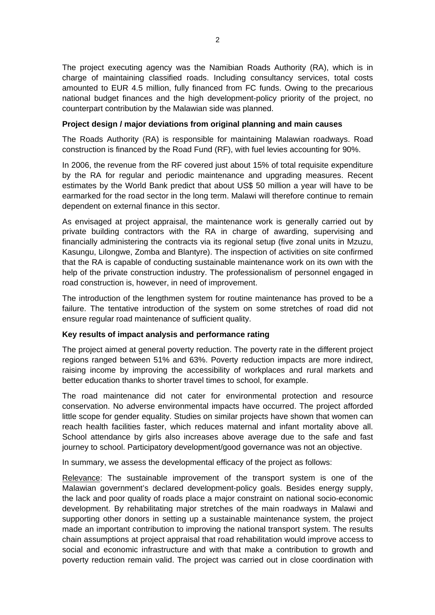The project executing agency was the Namibian Roads Authority (RA), which is in charge of maintaining classified roads. Including consultancy services, total costs amounted to EUR 4.5 million, fully financed from FC funds. Owing to the precarious national budget finances and the high development-policy priority of the project, no counterpart contribution by the Malawian side was planned.

# **Project design / major deviations from original planning and main causes**

The Roads Authority (RA) is responsible for maintaining Malawian roadways. Road construction is financed by the Road Fund (RF), with fuel levies accounting for 90%.

In 2006, the revenue from the RF covered just about 15% of total requisite expenditure by the RA for regular and periodic maintenance and upgrading measures. Recent estimates by the World Bank predict that about US\$ 50 million a year will have to be earmarked for the road sector in the long term. Malawi will therefore continue to remain dependent on external finance in this sector.

As envisaged at project appraisal, the maintenance work is generally carried out by private building contractors with the RA in charge of awarding, supervising and financially administering the contracts via its regional setup (five zonal units in Mzuzu, Kasungu, Lilongwe, Zomba and Blantyre). The inspection of activities on site confirmed that the RA is capable of conducting sustainable maintenance work on its own with the help of the private construction industry. The professionalism of personnel engaged in road construction is, however, in need of improvement.

The introduction of the lengthmen system for routine maintenance has proved to be a failure. The tentative introduction of the system on some stretches of road did not ensure regular road maintenance of sufficient quality.

# **Key results of impact analysis and performance rating**

The project aimed at general poverty reduction. The poverty rate in the different project regions ranged between 51% and 63%. Poverty reduction impacts are more indirect, raising income by improving the accessibility of workplaces and rural markets and better education thanks to shorter travel times to school, for example.

The road maintenance did not cater for environmental protection and resource conservation. No adverse environmental impacts have occurred. The project afforded little scope for gender equality. Studies on similar projects have shown that women can reach health facilities faster, which reduces maternal and infant mortality above all. School attendance by girls also increases above average due to the safe and fast journey to school. Participatory development/good governance was not an objective.

In summary, we assess the developmental efficacy of the project as follows:

Relevance: The sustainable improvement of the transport system is one of the Malawian government's declared development-policy goals. Besides energy supply, the lack and poor quality of roads place a major constraint on national socio-economic development. By rehabilitating major stretches of the main roadways in Malawi and supporting other donors in setting up a sustainable maintenance system, the project made an important contribution to improving the national transport system. The results chain assumptions at project appraisal that road rehabilitation would improve access to social and economic infrastructure and with that make a contribution to growth and poverty reduction remain valid. The project was carried out in close coordination with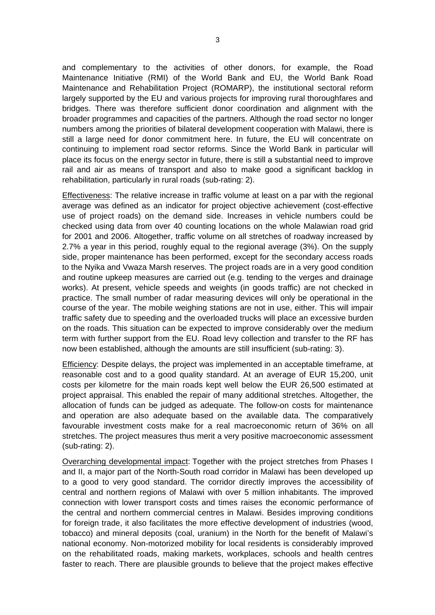and complementary to the activities of other donors, for example, the Road Maintenance Initiative (RMI) of the World Bank and EU, the World Bank Road Maintenance and Rehabilitation Project (ROMARP), the institutional sectoral reform largely supported by the EU and various projects for improving rural thoroughfares and bridges. There was therefore sufficient donor coordination and alignment with the broader programmes and capacities of the partners. Although the road sector no longer numbers among the priorities of bilateral development cooperation with Malawi, there is still a large need for donor commitment here. In future, the EU will concentrate on continuing to implement road sector reforms. Since the World Bank in particular will place its focus on the energy sector in future, there is still a substantial need to improve rail and air as means of transport and also to make good a significant backlog in rehabilitation, particularly in rural roads (sub-rating: 2).

Effectiveness: The relative increase in traffic volume at least on a par with the regional average was defined as an indicator for project objective achievement (cost-effective use of project roads) on the demand side. Increases in vehicle numbers could be checked using data from over 40 counting locations on the whole Malawian road grid for 2001 and 2006. Altogether, traffic volume on all stretches of roadway increased by 2.7% a year in this period, roughly equal to the regional average (3%). On the supply side, proper maintenance has been performed, except for the secondary access roads to the Nyika and Vwaza Marsh reserves. The project roads are in a very good condition and routine upkeep measures are carried out (e.g. tending to the verges and drainage works). At present, vehicle speeds and weights (in goods traffic) are not checked in practice. The small number of radar measuring devices will only be operational in the course of the year. The mobile weighing stations are not in use, either. This will impair traffic safety due to speeding and the overloaded trucks will place an excessive burden on the roads. This situation can be expected to improve considerably over the medium term with further support from the EU. Road levy collection and transfer to the RF has now been established, although the amounts are still insufficient (sub-rating: 3).

Efficiency: Despite delays, the project was implemented in an acceptable timeframe, at reasonable cost and to a good quality standard. At an average of EUR 15,200, unit costs per kilometre for the main roads kept well below the EUR 26,500 estimated at project appraisal. This enabled the repair of many additional stretches. Altogether, the allocation of funds can be judged as adequate. The follow-on costs for maintenance and operation are also adequate based on the available data. The comparatively favourable investment costs make for a real macroeconomic return of 36% on all stretches. The project measures thus merit a very positive macroeconomic assessment (sub-rating: 2).

Overarching developmental impact: Together with the project stretches from Phases I and II, a major part of the North-South road corridor in Malawi has been developed up to a good to very good standard. The corridor directly improves the accessibility of central and northern regions of Malawi with over 5 million inhabitants. The improved connection with lower transport costs and times raises the economic performance of the central and northern commercial centres in Malawi. Besides improving conditions for foreign trade, it also facilitates the more effective development of industries (wood, tobacco) and mineral deposits (coal, uranium) in the North for the benefit of Malawi's national economy. Non-motorized mobility for local residents is considerably improved on the rehabilitated roads, making markets, workplaces, schools and health centres faster to reach. There are plausible grounds to believe that the project makes effective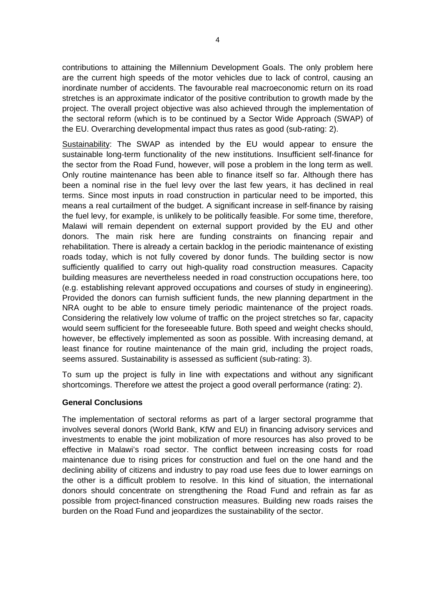contributions to attaining the Millennium Development Goals. The only problem here are the current high speeds of the motor vehicles due to lack of control, causing an inordinate number of accidents. The favourable real macroeconomic return on its road stretches is an approximate indicator of the positive contribution to growth made by the project. The overall project objective was also achieved through the implementation of the sectoral reform (which is to be continued by a Sector Wide Approach (SWAP) of the EU. Overarching developmental impact thus rates as good (sub-rating: 2).

Sustainability: The SWAP as intended by the EU would appear to ensure the sustainable long-term functionality of the new institutions. Insufficient self-finance for the sector from the Road Fund, however, will pose a problem in the long term as well. Only routine maintenance has been able to finance itself so far. Although there has been a nominal rise in the fuel levy over the last few years, it has declined in real terms. Since most inputs in road construction in particular need to be imported, this means a real curtailment of the budget. A significant increase in self-finance by raising the fuel levy, for example, is unlikely to be politically feasible. For some time, therefore, Malawi will remain dependent on external support provided by the EU and other donors. The main risk here are funding constraints on financing repair and rehabilitation. There is already a certain backlog in the periodic maintenance of existing roads today, which is not fully covered by donor funds. The building sector is now sufficiently qualified to carry out high-quality road construction measures. Capacity building measures are nevertheless needed in road construction occupations here, too (e.g. establishing relevant approved occupations and courses of study in engineering). Provided the donors can furnish sufficient funds, the new planning department in the NRA ought to be able to ensure timely periodic maintenance of the project roads. Considering the relatively low volume of traffic on the project stretches so far, capacity would seem sufficient for the foreseeable future. Both speed and weight checks should, however, be effectively implemented as soon as possible. With increasing demand, at least finance for routine maintenance of the main grid, including the project roads, seems assured. Sustainability is assessed as sufficient (sub-rating: 3).

To sum up the project is fully in line with expectations and without any significant shortcomings. Therefore we attest the project a good overall performance (rating: 2).

#### **General Conclusions**

The implementation of sectoral reforms as part of a larger sectoral programme that involves several donors (World Bank, KfW and EU) in financing advisory services and investments to enable the joint mobilization of more resources has also proved to be effective in Malawi's road sector. The conflict between increasing costs for road maintenance due to rising prices for construction and fuel on the one hand and the declining ability of citizens and industry to pay road use fees due to lower earnings on the other is a difficult problem to resolve. In this kind of situation, the international donors should concentrate on strengthening the Road Fund and refrain as far as possible from project-financed construction measures. Building new roads raises the burden on the Road Fund and jeopardizes the sustainability of the sector.